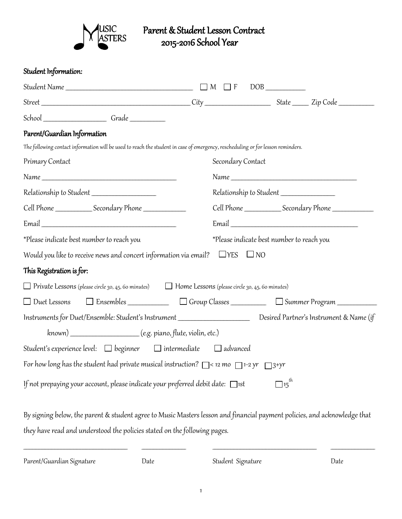

# SIC Parent & Student Lesson Contract<br>STERS 2015-2016 School Year 2015-2016 School Year

### Student Information:

| School ______________________Grade ____________                                                                                 |                                                                                                                           |
|---------------------------------------------------------------------------------------------------------------------------------|---------------------------------------------------------------------------------------------------------------------------|
| Parent/Guardian Information                                                                                                     |                                                                                                                           |
| The following contact information will be used to reach the student in case of emergency, rescheduling or for lesson reminders. |                                                                                                                           |
| Primary Contact                                                                                                                 | Secondary Contact                                                                                                         |
|                                                                                                                                 |                                                                                                                           |
| Relationship to Student _______________________                                                                                 | Relationship to Student ____________________                                                                              |
| Cell Phone __________________Secondary Phone ___________________________________                                                |                                                                                                                           |
|                                                                                                                                 |                                                                                                                           |
| *Please indicate best number to reach you                                                                                       | *Please indicate best number to reach you                                                                                 |
| Would you like to receive news and concert information via email? $\Box$ YES $\Box$ NO                                          |                                                                                                                           |
| This Registration is for:                                                                                                       |                                                                                                                           |
| $\Box$ Private Lessons (please circle 30, 45, 60 minutes) $\Box$ Home Lessons (please circle 30, 45, 60 minutes)                |                                                                                                                           |
|                                                                                                                                 | □ Duet Lessons □ Ensembles ________________ □ Group Classes ____________ □ Summer Program __________                      |
|                                                                                                                                 | Instruments for Duet/Ensemble: Student's Instrument _____________________________ Desired Partner's Instrument & Name (if |
|                                                                                                                                 |                                                                                                                           |
| Student's experience level: □ beginner   □ intermediate   □ advanced                                                            |                                                                                                                           |
| For how long has the student had private musical instruction? $\Box$ < 12 mo $\Box$ 1-2 yr $\Box$ 3+yr                          |                                                                                                                           |
| If not prepaying your account, please indicate your preferred debit date: □ist                                                  | $\exists$ 15 <sup>th</sup>                                                                                                |
|                                                                                                                                 | By signing below, the parent & student agree to Music Masters lesson and financial payment policies, and acknowledge that |
| they have read and understood the policies stated on the following pages.                                                       |                                                                                                                           |
|                                                                                                                                 |                                                                                                                           |

Parent/Guardian Signature Date Student Signature Date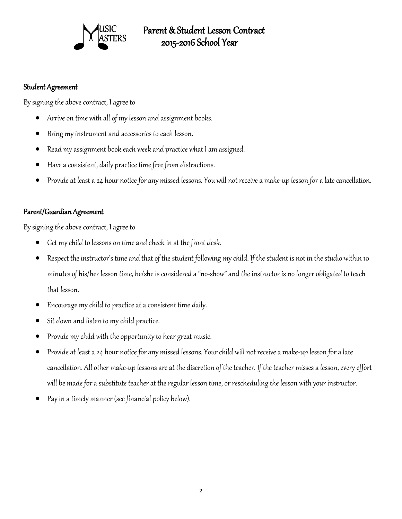

## Parent & Student Lesson Contract 2015-2016 School Year

#### Student Agreement

By signing the above contract, I agree to

- Arrive on time with all of my lesson and assignment books.
- Bring my instrument and accessories to each lesson.
- Read my assignment book each week and practice what I am assigned.
- Have a consistent, daily practice time free from distractions.
- Provide at least a 24 hour notice for any missed lessons. You will not receive a make-up lesson for a late cancellation.

#### Parent/Guardian Agreement

By signing the above contract, I agree to

- Get my child to lessons on time and check in at the front desk.
- Respect the instructor's time and that of the student following my child. If the student is not in the studio within 10 minutes of his/her lesson time, he/she is considered a "no-show" and the instructor is no longer obligated to teach that lesson.
- Encourage my child to practice at a consistent time daily.
- Sit down and listen to my child practice.
- Provide my child with the opportunity to hear great music.
- Provide at least a 24 hour notice for any missed lessons. Your child will not receive a make-up lesson for a late cancellation. All other make-up lessons are at the discretion of the teacher. If the teacher misses a lesson, every effort will be made for a substitute teacher at the regular lesson time, or rescheduling the lesson with your instructor.
- Pay in a timely manner (see financial policy below).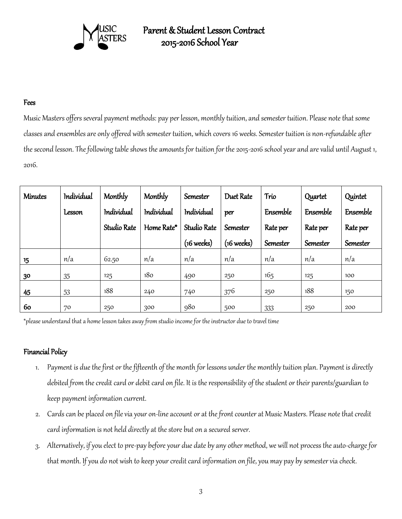

## Parent & Student Lesson Contract 2015-2016 School Year

#### Fees

Music Masters offers several payment methods: pay per lesson, monthly tuition, and semester tuition. Please note that some classes and ensembles are only offered with semester tuition, which covers 16 weeks. Semester tuition is non-refundable after the second lesson. The following table shows the amounts for tuition for the 2015-2016 school year and are valid until August 1, 2016.

| <b>Minutes</b> | Individual    | Monthly     | Monthly    | Semester             | Duet Rate            | Trio     | Quartet  | Quintet  |
|----------------|---------------|-------------|------------|----------------------|----------------------|----------|----------|----------|
|                | <b>Lesson</b> | Individual  | Individual | Individual           | per                  | Ensemble | Ensemble | Ensemble |
|                |               | Studio Rate | Home Rate* | Studio Rate          | Semester             | Rate per | Rate per | Rate per |
|                |               |             |            | $(16 \text{ weeks})$ | $(16 \text{ weeks})$ | Semester | Semester | Semester |
| 15             | n/a           | 62.50       | n/a        | n/a                  | n/a                  | n/a      | n/a      | n/a      |
| 30             | 35            | 125         | 180        | 490                  | 250                  | 165      | 125      | 100      |
| 45             | 53            | 188         | 240        | 740                  | 376                  | 250      | 188      | 150      |
| 60             | 70            | 250         | 300        | 980                  | 500                  | 333      | 250      | 200      |

\*please understand that a home lesson takes away from studio income for the instructor due to travel time

#### Financial Policy

- 1. Payment is due the first or the fifteenth of the month for lessons under the monthly tuition plan. Payment is directly debited from the credit card or debit card on file. It is the responsibility of the student or their parents/guardian to keep payment information current.
- 2. Cards can be placed on file via your on-line account or at the front counter at Music Masters. Please note that credit card information is not held directly at the store but on a secured server.
- 3. Alternatively, if you elect to pre-pay before your due date by any other method, we will not process the auto-charge for that month. If you do not wish to keep your credit card information on file, you may pay by semester via check.